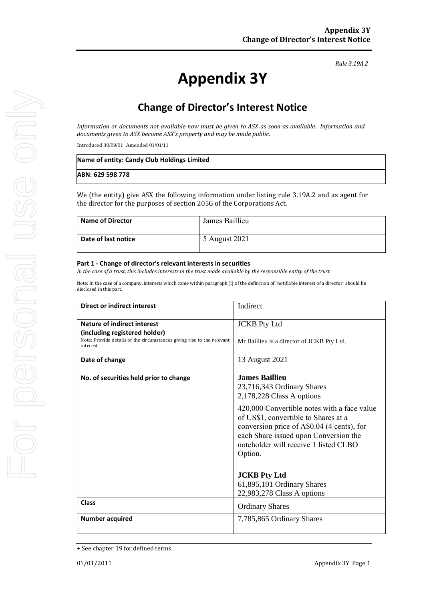*Rule 3.19A.2*

# **Appendix 3Y**

# **Change of Director's Interest Notice**

*Information or documents not available now must be given to ASX as soon as available. Information and documents given to ASX become ASX's property and may be made public.*

Introduced 30/09/01 Amended 01/01/11

| Name of entity: Candy Club Holdings Limited |  |
|---------------------------------------------|--|
| ABN: 629 598 778                            |  |

We (the entity) give ASX the following information under listing rule 3.19A.2 and as agent for the director for the purposes of section 205G of the Corporations Act.

| <b>Name of Director</b> | James Baillieu |
|-------------------------|----------------|
| Date of last notice     | 5 August 2021  |

#### **Part 1 - Change of director's relevant interests in securities**

*In the case of a trust, this includes interests in the trust made available by the responsible entity of the trust*

Note: In the case of a company, interests which come within paragraph (i) of the definition of "notifiable interest of a director" should be disclosed in this part.

| <b>Direct or indirect interest</b>                                                  | Indirect                                                                                                                                                                                                                       |
|-------------------------------------------------------------------------------------|--------------------------------------------------------------------------------------------------------------------------------------------------------------------------------------------------------------------------------|
| Nature of indirect interest                                                         | <b>JCKB</b> Pty Ltd                                                                                                                                                                                                            |
| (including registered holder)                                                       |                                                                                                                                                                                                                                |
| Note: Provide details of the circumstances giving rise to the relevant<br>interest. | Mr Baillieu is a director of JCKB Pty Ltd.                                                                                                                                                                                     |
| Date of change                                                                      | 13 August 2021                                                                                                                                                                                                                 |
| No. of securities held prior to change                                              | <b>James Baillieu</b>                                                                                                                                                                                                          |
|                                                                                     | 23,716,343 Ordinary Shares                                                                                                                                                                                                     |
|                                                                                     | 2,178,228 Class A options                                                                                                                                                                                                      |
|                                                                                     | 420,000 Convertible notes with a face value<br>of US\$1, convertible to Shares at a<br>conversion price of A\$0.04 (4 cents), for<br>each Share issued upon Conversion the<br>noteholder will receive 1 listed CLBO<br>Option. |
|                                                                                     | <b>JCKB Pty Ltd</b>                                                                                                                                                                                                            |
|                                                                                     | 61,895,101 Ordinary Shares                                                                                                                                                                                                     |
|                                                                                     | 22,983,278 Class A options                                                                                                                                                                                                     |
| <b>Class</b>                                                                        | <b>Ordinary Shares</b>                                                                                                                                                                                                         |
| <b>Number acquired</b>                                                              | 7,785,865 Ordinary Shares                                                                                                                                                                                                      |

<sup>+</sup> See chapter 19 for defined terms.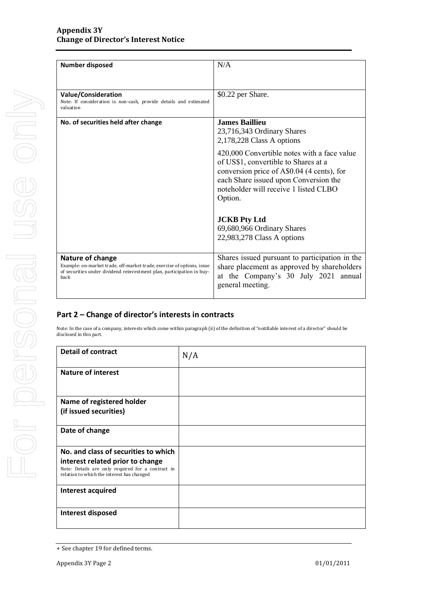| <b>Number disposed</b>                                                                                                                                                      | N/A                                                                                                                                                                                                                            |  |
|-----------------------------------------------------------------------------------------------------------------------------------------------------------------------------|--------------------------------------------------------------------------------------------------------------------------------------------------------------------------------------------------------------------------------|--|
|                                                                                                                                                                             |                                                                                                                                                                                                                                |  |
|                                                                                                                                                                             |                                                                                                                                                                                                                                |  |
| Value/Consideration<br>Note: If consideration is non-cash, provide details and estimated<br>valuation                                                                       | \$0.22 per Share.                                                                                                                                                                                                              |  |
| No. of securities held after change                                                                                                                                         | <b>James Baillieu</b><br>23,716,343 Ordinary Shares<br>2,178,228 Class A options                                                                                                                                               |  |
|                                                                                                                                                                             | 420,000 Convertible notes with a face value<br>of US\$1, convertible to Shares at a<br>conversion price of A\$0.04 (4 cents), for<br>each Share issued upon Conversion the<br>noteholder will receive 1 listed CLBO<br>Option. |  |
|                                                                                                                                                                             | <b>JCKB</b> Pty Ltd<br>69,680,966 Ordinary Shares<br>22,983,278 Class A options                                                                                                                                                |  |
| Nature of change<br>Example: on-market trade, off-market trade, exercise of options, issue<br>of securities under dividend reinvestment plan, participation in buy-<br>back | Shares issued pursuant to participation in the<br>share placement as approved by shareholders<br>at the Company's 30 July 2021 annual<br>general meeting.                                                                      |  |

### **Part 2 – Change of director's interests in contracts**

Note: In the case of a company, interests which come within paragraph (ii) of the definition of "notifiable interest of a director" should be disclosed in this part.

| <b>Detail of contract</b>                                                                                                           | N/A |
|-------------------------------------------------------------------------------------------------------------------------------------|-----|
| Nature of interest                                                                                                                  |     |
| Name of registered holder                                                                                                           |     |
| (if issued securities)                                                                                                              |     |
| Date of change                                                                                                                      |     |
| No. and class of securities to which                                                                                                |     |
| interest related prior to change<br>Note: Details are only required for a contract in<br>relation to which the interest has changed |     |
| Interest acquired                                                                                                                   |     |
| Interest disposed                                                                                                                   |     |

<sup>+</sup> See chapter 19 for defined terms.